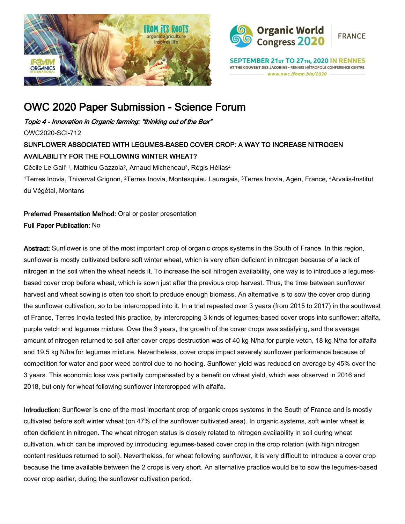



SEPTEMBER 21st TO 27th, 2020 IN RENNES AT THE COUVENT DES JACOBINS . RENNES MÉTROPOLE CONFERENCE CENTRE www.owc.ifoam.bio/2020

# OWC 2020 Paper Submission - Science Forum

Topic 4 - Innovation in Organic farming: "thinking out of the Box"

OWC2020-SCI-712

# SUNFLOWER ASSOCIATED WITH LEGUMES-BASED COVER CROP: A WAY TO INCREASE NITROGEN AVAILABILITY FOR THE FOLLOWING WINTER WHEAT?

Cécile Le Gall<sup>\*1</sup>, Mathieu Gazzola<sup>2</sup>, Arnaud Micheneau<sup>3</sup>, Régis Hélias<sup>4</sup> 1Terres Inovia, Thiverval Grignon, 2Terres Inovia, Montesquieu Lauragais, 3Terres Inovia, Agen, France, 4Arvalis-Institut du Végétal, Montans

Preferred Presentation Method: Oral or poster presentation Full Paper Publication: No

Abstract: Sunflower is one of the most important crop of organic crops systems in the South of France. In this region, sunflower is mostly cultivated before soft winter wheat, which is very often deficient in nitrogen because of a lack of nitrogen in the soil when the wheat needs it. To increase the soil nitrogen availability, one way is to introduce a legumesbased cover crop before wheat, which is sown just after the previous crop harvest. Thus, the time between sunflower harvest and wheat sowing is often too short to produce enough biomass. An alternative is to sow the cover crop during the sunflower cultivation, so to be intercropped into it. In a trial repeated over 3 years (from 2015 to 2017) in the southwest of France, Terres Inovia tested this practice, by intercropping 3 kinds of legumes-based cover crops into sunflower: alfalfa, purple vetch and legumes mixture. Over the 3 years, the growth of the cover crops was satisfying, and the average amount of nitrogen returned to soil after cover crops destruction was of 40 kg N/ha for purple vetch, 18 kg N/ha for alfalfa and 19.5 kg N/ha for legumes mixture. Nevertheless, cover crops impact severely sunflower performance because of competition for water and poor weed control due to no hoeing. Sunflower yield was reduced on average by 45% over the 3 years. This economic loss was partially compensated by a benefit on wheat yield, which was observed in 2016 and 2018, but only for wheat following sunflower intercropped with alfalfa.

Introduction: Sunflower is one of the most important crop of organic crops systems in the South of France and is mostly cultivated before soft winter wheat (on 47% of the sunflower cultivated area). In organic systems, soft winter wheat is often deficient in nitrogen. The wheat nitrogen status is closely related to nitrogen availability in soil during wheat cultivation, which can be improved by introducing legumes-based cover crop in the crop rotation (with high nitrogen content residues returned to soil). Nevertheless, for wheat following sunflower, it is very difficult to introduce a cover crop because the time available between the 2 crops is very short. An alternative practice would be to sow the legumes-based cover crop earlier, during the sunflower cultivation period.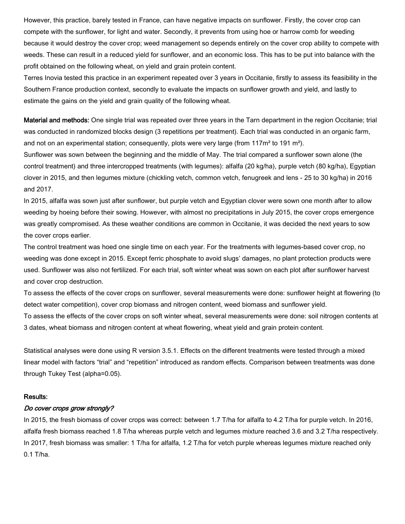However, this practice, barely tested in France, can have negative impacts on sunflower. Firstly, the cover crop can compete with the sunflower, for light and water. Secondly, it prevents from using hoe or harrow comb for weeding because it would destroy the cover crop; weed management so depends entirely on the cover crop ability to compete with weeds. These can result in a reduced yield for sunflower, and an economic loss. This has to be put into balance with the profit obtained on the following wheat, on yield and grain protein content.

Terres Inovia tested this practice in an experiment repeated over 3 years in Occitanie, firstly to assess its feasibility in the Southern France production context, secondly to evaluate the impacts on sunflower growth and yield, and lastly to estimate the gains on the yield and grain quality of the following wheat.

Material and methods: One single trial was repeated over three years in the Tarn department in the region Occitanie; trial was conducted in randomized blocks design (3 repetitions per treatment). Each trial was conducted in an organic farm, and not on an experimental station; consequently, plots were very large (from  $117m<sup>2</sup>$  to 191 m<sup>2</sup>).

Sunflower was sown between the beginning and the middle of May. The trial compared a sunflower sown alone (the control treatment) and three intercropped treatments (with legumes): alfalfa (20 kg/ha), purple vetch (80 kg/ha), Egyptian clover in 2015, and then legumes mixture (chickling vetch, common vetch, fenugreek and lens - 25 to 30 kg/ha) in 2016 and 2017.

In 2015, alfalfa was sown just after sunflower, but purple vetch and Egyptian clover were sown one month after to allow weeding by hoeing before their sowing. However, with almost no precipitations in July 2015, the cover crops emergence was greatly compromised. As these weather conditions are common in Occitanie, it was decided the next years to sow the cover crops earlier.

The control treatment was hoed one single time on each year. For the treatments with legumes-based cover crop, no weeding was done except in 2015. Except ferric phosphate to avoid slugs' damages, no plant protection products were used. Sunflower was also not fertilized. For each trial, soft winter wheat was sown on each plot after sunflower harvest and cover crop destruction.

To assess the effects of the cover crops on sunflower, several measurements were done: sunflower height at flowering (to detect water competition), cover crop biomass and nitrogen content, weed biomass and sunflower yield.

To assess the effects of the cover crops on soft winter wheat, several measurements were done: soil nitrogen contents at 3 dates, wheat biomass and nitrogen content at wheat flowering, wheat yield and grain protein content.

Statistical analyses were done using R version 3.5.1. Effects on the different treatments were tested through a mixed linear model with factors "trial" and "repetition" introduced as random effects. Comparison between treatments was done through Tukey Test (alpha=0.05).

#### Results:

#### Do cover crops grow strongly?

In 2015, the fresh biomass of cover crops was correct: between 1.7 T/ha for alfalfa to 4.2 T/ha for purple vetch. In 2016, alfalfa fresh biomass reached 1.8 T/ha whereas purple vetch and legumes mixture reached 3.6 and 3.2 T/ha respectively. In 2017, fresh biomass was smaller: 1 T/ha for alfalfa, 1.2 T/ha for vetch purple whereas legumes mixture reached only 0.1 T/ha.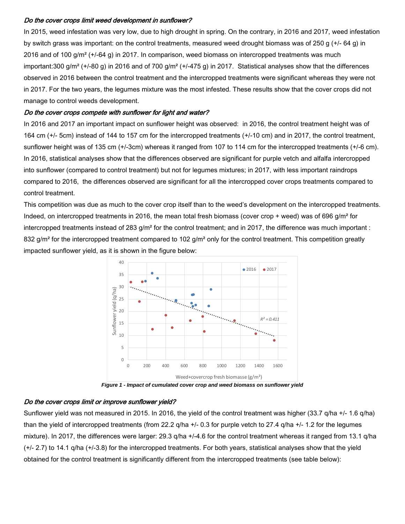# Do the cover crops limit weed development in sunflower?

In 2015, weed infestation was very low, due to high drought in spring. On the contrary, in 2016 and 2017, weed infestation by switch grass was important: on the control treatments, measured weed drought biomass was of 250 g (+/- 64 g) in 2016 and of 100 g/m² (+/-64 g) in 2017. In comparison, weed biomass on intercropped treatments was much important:300 g/m<sup>2</sup> (+/-80 g) in 2016 and of 700 g/m<sup>2</sup> (+/-475 g) in 2017. Statistical analyses show that the differences observed in 2016 between the control treatment and the intercropped treatments were significant whereas they were not in 2017. For the two years, the legumes mixture was the most infested. These results show that the cover crops did not manage to control weeds development.

#### Do the cover crops compete with sunflower for light and water?

In 2016 and 2017 an important impact on sunflower height was observed: in 2016, the control treatment height was of 164 cm (+/- 5cm) instead of 144 to 157 cm for the intercropped treatments (+/-10 cm) and in 2017, the control treatment, sunflower height was of 135 cm (+/-3cm) whereas it ranged from 107 to 114 cm for the intercropped treatments (+/-6 cm). In 2016, statistical analyses show that the differences observed are significant for purple vetch and alfalfa intercropped into sunflower (compared to control treatment) but not for legumes mixtures; in 2017, with less important raindrops compared to 2016, the differences observed are significant for all the intercropped cover crops treatments compared to control treatment.

This competition was due as much to the cover crop itself than to the weed's development on the intercropped treatments. Indeed, on intercropped treatments in 2016, the mean total fresh biomass (cover crop + weed) was of 696 g/m<sup>2</sup> for intercropped treatments instead of 283  $g/m^2$  for the control treatment; and in 2017, the difference was much important : 832 g/m<sup>2</sup> for the intercropped treatment compared to 102 g/m<sup>2</sup> only for the control treatment. This competition greatly impacted sunflower yield, as it is shown in the figure below:



*Figure 1 - Impact of cumulated cover crop and weed biomass on sunflower yield*

# Do the cover crops limit or improve sunflower yield?

Sunflower yield was not measured in 2015. In 2016, the yield of the control treatment was higher (33.7 q/ha +/- 1.6 q/ha) than the yield of intercropped treatments (from 22.2 q/ha +/- 0.3 for purple vetch to 27.4 q/ha +/- 1.2 for the legumes mixture). In 2017, the differences were larger: 29.3 q/ha +/-4.6 for the control treatment whereas it ranged from 13.1 q/ha (+/- 2.7) to 14.1 q/ha (+/-3.8) for the intercropped treatments. For both years, statistical analyses show that the yield obtained for the control treatment is significantly different from the intercropped treatments (see table below):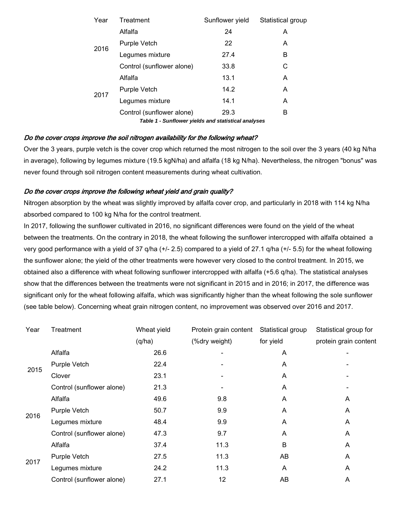| Year | Treatment                                           | Sunflower yield | Statistical group |
|------|-----------------------------------------------------|-----------------|-------------------|
|      | Alfalfa                                             | 24              | A                 |
| 2016 | Purple Vetch                                        | 22              | A                 |
|      | Legumes mixture                                     | 27.4            | B                 |
|      | Control (sunflower alone)                           | 33.8            | С                 |
| 2017 | Alfalfa                                             | 13.1            | A                 |
|      | Purple Vetch                                        | 14.2            | A                 |
|      | Legumes mixture                                     | 14.1            | A                 |
|      | Control (sunflower alone)                           | 29.3            | B                 |
|      | Table 1 - Sunflower yields and statistical analyses |                 |                   |

# Do the cover crops improve the soil nitrogen availability for the following wheat?

Over the 3 years, purple vetch is the cover crop which returned the most nitrogen to the soil over the 3 years (40 kg N/ha in average), following by legumes mixture (19.5 kgN/ha) and alfalfa (18 kg N/ha). Nevertheless, the nitrogen "bonus" was never found through soil nitrogen content measurements during wheat cultivation.

# Do the cover crops improve the following wheat yield and grain quality?

Nitrogen absorption by the wheat was slightly improved by alfalfa cover crop, and particularly in 2018 with 114 kg N/ha absorbed compared to 100 kg N/ha for the control treatment.

In 2017, following the sunflower cultivated in 2016, no significant differences were found on the yield of the wheat between the treatments. On the contrary in 2018, the wheat following the sunflower intercropped with alfalfa obtained a very good performance with a yield of 37 q/ha (+/- 2.5) compared to a yield of 27.1 q/ha (+/- 5.5) for the wheat following the sunflower alone; the yield of the other treatments were however very closed to the control treatment. In 2015, we obtained also a difference with wheat following sunflower intercropped with alfalfa (+5.6 q/ha). The statistical analyses show that the differences between the treatments were not significant in 2015 and in 2016; in 2017, the difference was significant only for the wheat following alfalfa, which was significantly higher than the wheat following the sole sunflower (see table below). Concerning wheat grain nitrogen content, no improvement was observed over 2016 and 2017.

| Year | Treatment                 | Wheat yield | Protein grain content | Statistical group | Statistical group for |
|------|---------------------------|-------------|-----------------------|-------------------|-----------------------|
|      |                           | (q/ha)      | (%dry weight)         | for yield         | protein grain content |
| 2015 | Alfalfa                   | 26.6        |                       | A                 |                       |
|      | Purple Vetch              | 22.4        |                       | A                 |                       |
|      | Clover                    | 23.1        |                       | A                 |                       |
|      | Control (sunflower alone) | 21.3        |                       | A                 |                       |
| 2016 | Alfalfa                   | 49.6        | 9.8                   | A                 | A                     |
|      | Purple Vetch              | 50.7        | 9.9                   | A                 | A                     |
|      | Legumes mixture           | 48.4        | 9.9                   | A                 | A                     |
|      | Control (sunflower alone) | 47.3        | 9.7                   | A                 | A                     |
| 2017 | Alfalfa                   | 37.4        | 11.3                  | B                 | A                     |
|      | Purple Vetch              | 27.5        | 11.3                  | AB                | A                     |
|      | Legumes mixture           | 24.2        | 11.3                  | A                 | A                     |
|      | Control (sunflower alone) | 27.1        | 12                    | AB                | A                     |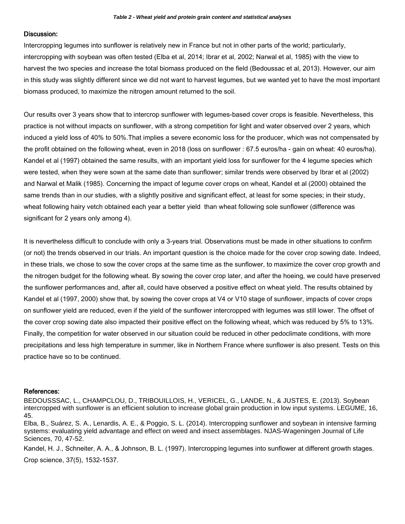#### Discussion:

Intercropping legumes into sunflower is relatively new in France but not in other parts of the world; particularly, intercropping with soybean was often tested (Elba et al, 2014; Ibrar et al, 2002; Narwal et al, 1985) with the view to harvest the two species and increase the total biomass produced on the field (Bedoussac et al, 2013). However, our aim in this study was slightly different since we did not want to harvest legumes, but we wanted yet to have the most important biomass produced, to maximize the nitrogen amount returned to the soil.

Our results over 3 years show that to intercrop sunflower with legumes-based cover crops is feasible. Nevertheless, this practice is not without impacts on sunflower, with a strong competition for light and water observed over 2 years, which induced a yield loss of 40% to 50%.That implies a severe economic loss for the producer, which was not compensated by the profit obtained on the following wheat, even in 2018 (loss on sunflower : 67.5 euros/ha - gain on wheat: 40 euros/ha). Kandel et al (1997) obtained the same results, with an important yield loss for sunflower for the 4 legume species which were tested, when they were sown at the same date than sunflower; similar trends were observed by Ibrar et al (2002) and Narwal et Malik (1985). Concerning the impact of legume cover crops on wheat, Kandel et al (2000) obtained the same trends than in our studies, with a slightly positive and significant effect, at least for some species; in their study, wheat following hairy vetch obtained each year a better yield than wheat following sole sunflower (difference was significant for 2 years only among 4).

It is nevertheless difficult to conclude with only a 3-years trial. Observations must be made in other situations to confirm (or not) the trends observed in our trials. An important question is the choice made for the cover crop sowing date. Indeed, in these trials, we chose to sow the cover crops at the same time as the sunflower, to maximize the cover crop growth and the nitrogen budget for the following wheat. By sowing the cover crop later, and after the hoeing, we could have preserved the sunflower performances and, after all, could have observed a positive effect on wheat yield. The results obtained by Kandel et al (1997, 2000) show that, by sowing the cover crops at V4 or V10 stage of sunflower, impacts of cover crops on sunflower yield are reduced, even if the yield of the sunflower intercropped with legumes was still lower. The offset of the cover crop sowing date also impacted their positive effect on the following wheat, which was reduced by 5% to 13%. Finally, the competition for water observed in our situation could be reduced in other pedoclimate conditions, with more precipitations and less high temperature in summer, like in Northern France where sunflower is also present. Tests on this practice have so to be continued.

#### References:

BEDOUSSSAC, L., CHAMPCLOU, D., TRIBOUILLOIS, H., VERICEL, G., LANDE, N., & JUSTES, E. (2013). Soybean intercropped with sunflower is an efficient solution to increase global grain production in low input systems. LEGUME, 16, 45.

Elba, B., Suárez, S. A., Lenardis, A. E., & Poggio, S. L. (2014). Intercropping sunflower and soybean in intensive farming systems: evaluating yield advantage and effect on weed and insect assemblages. NJAS-Wageningen Journal of Life Sciences, 70, 47-52.

Kandel, H. J., Schneiter, A. A., & Johnson, B. L. (1997). Intercropping legumes into sunflower at different growth stages.

Crop science, 37(5), 1532-1537.